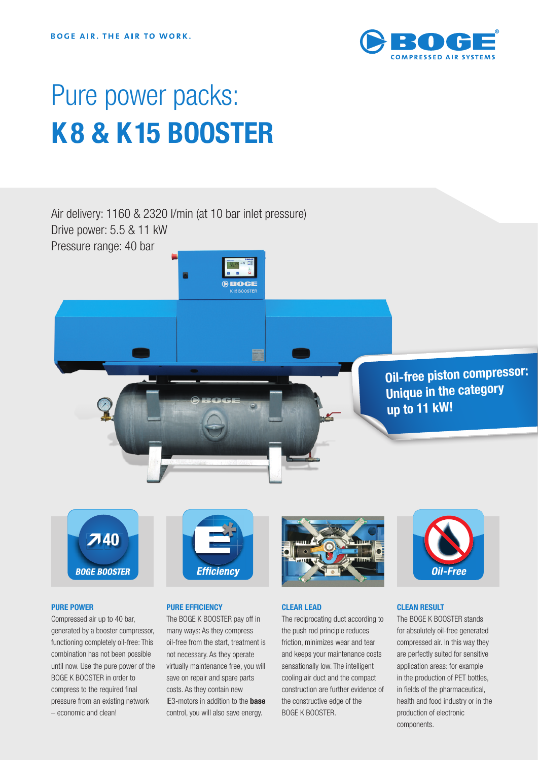

# Pure power packs: **K 8 & K 15 BOOSTER**

Air delivery: 1160 & 2320 l/min (at 10 bar inlet pressure) Drive power: 5.5 & 11 kW

**ROGE** 

Pressure range: 40 bar

**Oil-free piston compressor: Unique in the category up to 11 kW!** 

 $740$ **BOGE BOOSTER** 

#### **PURE POWER**

Compressed air up to 40 bar, generated by a booster compressor, functioning completely oil-free: This combination has not been possible until now. Use the pure power of the BOGE K BOOSTER in order to compress to the required final pressure from an existing network – economic and clean!



#### **PURE EFFICIENCY**

The BOGE K BOOSTER pay off in many ways: As they compress oil-free from the start, treatment is not necessary. As they operate virtually maintenance free, you will save on repair and spare parts costs. As they contain new IE3-motors in addition to the **base** control, you will also save energy.



## **CLEAR LEAD**

The reciprocating duct according to the push rod principle reduces friction, minimizes wear and tear and keeps your maintenance costs sensationally low. The intelligent cooling air duct and the compact construction are further evidence of the constructive edge of the BOGE K BOOSTER.



### **CLEAN RESULT**

The BOGE K BOOSTER stands for absolutely oil-free generated compressed air. In this way they are perfectly suited for sensitive application areas: for example in the production of PET bottles, in fields of the pharmaceutical, health and food industry or in the production of electronic components.